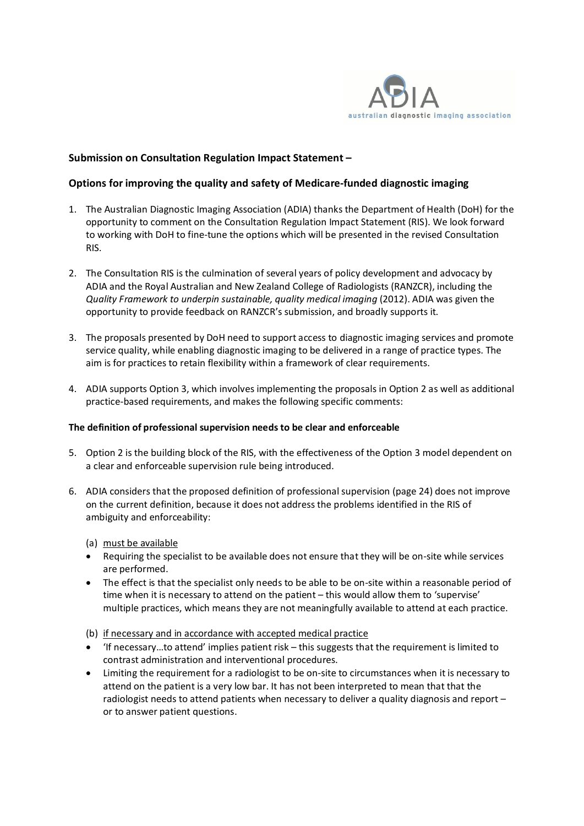

## **Submission on Consultation Regulation Impact Statement –**

### **Options for improving the quality and safety of Medicare-funded diagnostic imaging**

- 1. The Australian Diagnostic Imaging Association (ADIA) thanks the Department of Health (DoH) for the opportunity to comment on the Consultation Regulation Impact Statement (RIS). We look forward to working with DoH to fine-tune the options which will be presented in the revised Consultation RIS.
- 2. The Consultation RIS is the culmination of several years of policy development and advocacy by ADIA and the Royal Australian and New Zealand College of Radiologists (RANZCR), including the *Quality Framework to underpin sustainable, quality medical imaging* (2012). ADIA was given the opportunity to provide feedback on RANZCR's submission, and broadly supports it.
- 3. The proposals presented by DoH need to support access to diagnostic imaging services and promote service quality, while enabling diagnostic imaging to be delivered in a range of practice types. The aim is for practices to retain flexibility within a framework of clear requirements.
- 4. ADIA supports Option 3, which involves implementing the proposals in Option 2 as well as additional practice-based requirements, and makes the following specific comments:

#### **The definition of professional supervision needs to be clear and enforceable**

- 5. Option 2 is the building block of the RIS, with the effectiveness of the Option 3 model dependent on a clear and enforceable supervision rule being introduced.
- 6. ADIA considers that the proposed definition of professional supervision (page 24) does not improve on the current definition, because it does not address the problems identified in the RIS of ambiguity and enforceability:
	- (a) must be available
	- Requiring the specialist to be available does not ensure that they will be on-site while services are performed.
	- The effect is that the specialist only needs to be able to be on-site within a reasonable period of time when it is necessary to attend on the patient – this would allow them to 'supervise' multiple practices, which means they are not meaningfully available to attend at each practice.
	- (b) if necessary and in accordance with accepted medical practice
	- 'If necessary…to attend' implies patient risk this suggests that the requirement is limited to contrast administration and interventional procedures.
	- Limiting the requirement for a radiologist to be on-site to circumstances when it is necessary to attend on the patient is a very low bar. It has not been interpreted to mean that that the radiologist needs to attend patients when necessary to deliver a quality diagnosis and report – or to answer patient questions.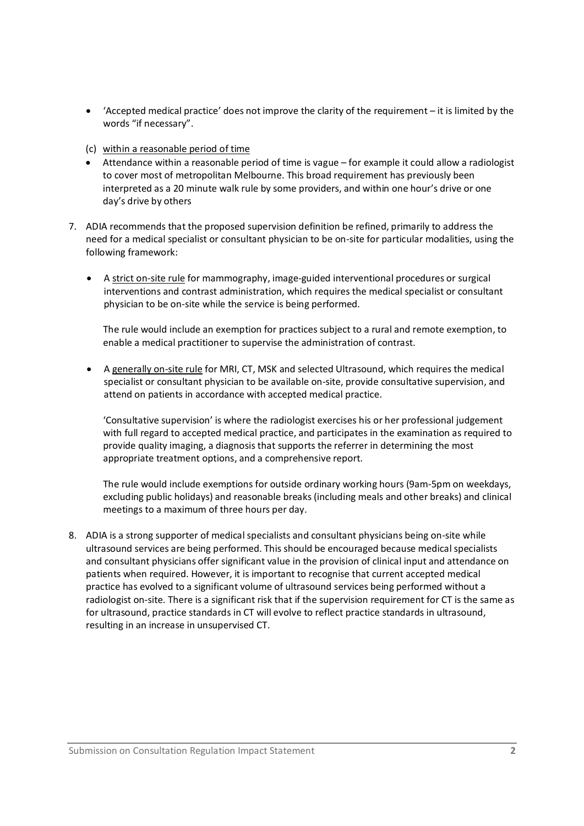- 'Accepted medical practice' does not improve the clarity of the requirement it is limited by the words "if necessary".
- (c) within a reasonable period of time
- Attendance within a reasonable period of time is vague for example it could allow a radiologist to cover most of metropolitan Melbourne. This broad requirement has previously been interpreted as a 20 minute walk rule by some providers, and within one hour's drive or one day's drive by others
- 7. ADIA recommends that the proposed supervision definition be refined, primarily to address the need for a medical specialist or consultant physician to be on-site for particular modalities, using the following framework:
	- A strict on-site rule for mammography, image-guided interventional procedures or surgical interventions and contrast administration, which requires the medical specialist or consultant physician to be on-site while the service is being performed.

The rule would include an exemption for practices subject to a rural and remote exemption, to enable a medical practitioner to supervise the administration of contrast.

 A generally on-site rule for MRI, CT, MSK and selected Ultrasound, which requires the medical specialist or consultant physician to be available on-site, provide consultative supervision, and attend on patients in accordance with accepted medical practice.

'Consultative supervision' is where the radiologist exercises his or her professional judgement with full regard to accepted medical practice, and participates in the examination as required to provide quality imaging, a diagnosis that supports the referrer in determining the most appropriate treatment options, and a comprehensive report.

The rule would include exemptions for outside ordinary working hours (9am-5pm on weekdays, excluding public holidays) and reasonable breaks (including meals and other breaks) and clinical meetings to a maximum of three hours per day.

8. ADIA is a strong supporter of medical specialists and consultant physicians being on-site while ultrasound services are being performed. This should be encouraged because medical specialists and consultant physicians offer significant value in the provision of clinical input and attendance on patients when required. However, it is important to recognise that current accepted medical practice has evolved to a significant volume of ultrasound services being performed without a radiologist on-site. There is a significant risk that if the supervision requirement for CT is the same as for ultrasound, practice standards in CT will evolve to reflect practice standards in ultrasound, resulting in an increase in unsupervised CT.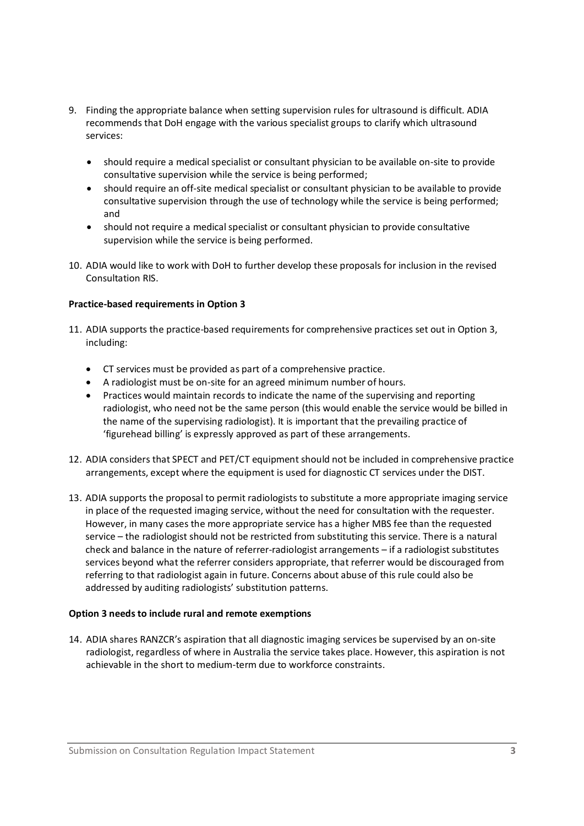- 9. Finding the appropriate balance when setting supervision rules for ultrasound is difficult. ADIA recommends that DoH engage with the various specialist groups to clarify which ultrasound services:
	- should require a medical specialist or consultant physician to be available on-site to provide consultative supervision while the service is being performed;
	- should require an off-site medical specialist or consultant physician to be available to provide consultative supervision through the use of technology while the service is being performed; and
	- should not require a medical specialist or consultant physician to provide consultative supervision while the service is being performed.
- 10. ADIA would like to work with DoH to further develop these proposals for inclusion in the revised Consultation RIS.

#### **Practice-based requirements in Option 3**

- 11. ADIA supports the practice-based requirements for comprehensive practices set out in Option 3, including:
	- CT services must be provided as part of a comprehensive practice.
	- A radiologist must be on-site for an agreed minimum number of hours.
	- Practices would maintain records to indicate the name of the supervising and reporting radiologist, who need not be the same person (this would enable the service would be billed in the name of the supervising radiologist). It is important that the prevailing practice of 'figurehead billing' is expressly approved as part of these arrangements.
- 12. ADIA considers that SPECT and PET/CT equipment should not be included in comprehensive practice arrangements, except where the equipment is used for diagnostic CT services under the DIST.
- 13. ADIA supports the proposal to permit radiologists to substitute a more appropriate imaging service in place of the requested imaging service, without the need for consultation with the requester. However, in many cases the more appropriate service has a higher MBS fee than the requested service – the radiologist should not be restricted from substituting this service. There is a natural check and balance in the nature of referrer-radiologist arrangements – if a radiologist substitutes services beyond what the referrer considers appropriate, that referrer would be discouraged from referring to that radiologist again in future. Concerns about abuse of this rule could also be addressed by auditing radiologists' substitution patterns.

#### **Option 3 needs to include rural and remote exemptions**

14. ADIA shares RANZCR's aspiration that all diagnostic imaging services be supervised by an on-site radiologist, regardless of where in Australia the service takes place. However, this aspiration is not achievable in the short to medium-term due to workforce constraints.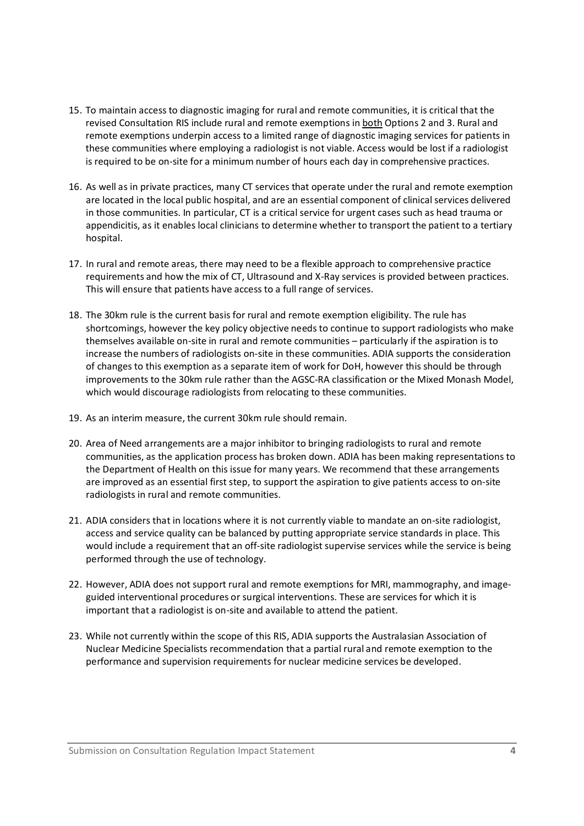- 15. To maintain access to diagnostic imaging for rural and remote communities, it is critical that the revised Consultation RIS include rural and remote exemptions in **both Options 2 and 3. Rural and** remote exemptions underpin access to a limited range of diagnostic imaging services for patients in these communities where employing a radiologist is not viable. Access would be lost if a radiologist is required to be on-site for a minimum number of hours each day in comprehensive practices.
- 16. As well as in private practices, many CT services that operate under the rural and remote exemption are located in the local public hospital, and are an essential component of clinical services delivered in those communities. In particular, CT is a critical service for urgent cases such as head trauma or appendicitis, as it enables local clinicians to determine whether to transport the patient to a tertiary hospital.
- 17. In rural and remote areas, there may need to be a flexible approach to comprehensive practice requirements and how the mix of CT, Ultrasound and X-Ray services is provided between practices. This will ensure that patients have access to a full range of services.
- 18. The 30km rule is the current basis for rural and remote exemption eligibility. The rule has shortcomings, however the key policy objective needs to continue to support radiologists who make themselves available on-site in rural and remote communities – particularly if the aspiration is to increase the numbers of radiologists on-site in these communities. ADIA supports the consideration of changes to this exemption as a separate item of work for DoH, however this should be through improvements to the 30km rule rather than the AGSC-RA classification or the Mixed Monash Model, which would discourage radiologists from relocating to these communities.
- 19. As an interim measure, the current 30km rule should remain.
- 20. Area of Need arrangements are a major inhibitor to bringing radiologists to rural and remote communities, as the application process has broken down. ADIA has been making representations to the Department of Health on this issue for many years. We recommend that these arrangements are improved as an essential first step, to support the aspiration to give patients access to on-site radiologists in rural and remote communities.
- 21. ADIA considers that in locations where it is not currently viable to mandate an on-site radiologist, access and service quality can be balanced by putting appropriate service standards in place. This would include a requirement that an off-site radiologist supervise services while the service is being performed through the use of technology.
- 22. However, ADIA does not support rural and remote exemptions for MRI, mammography, and imageguided interventional procedures or surgical interventions. These are services for which it is important that a radiologist is on-site and available to attend the patient.
- 23. While not currently within the scope of this RIS, ADIA supports the Australasian Association of Nuclear Medicine Specialists recommendation that a partial rural and remote exemption to the performance and supervision requirements for nuclear medicine services be developed.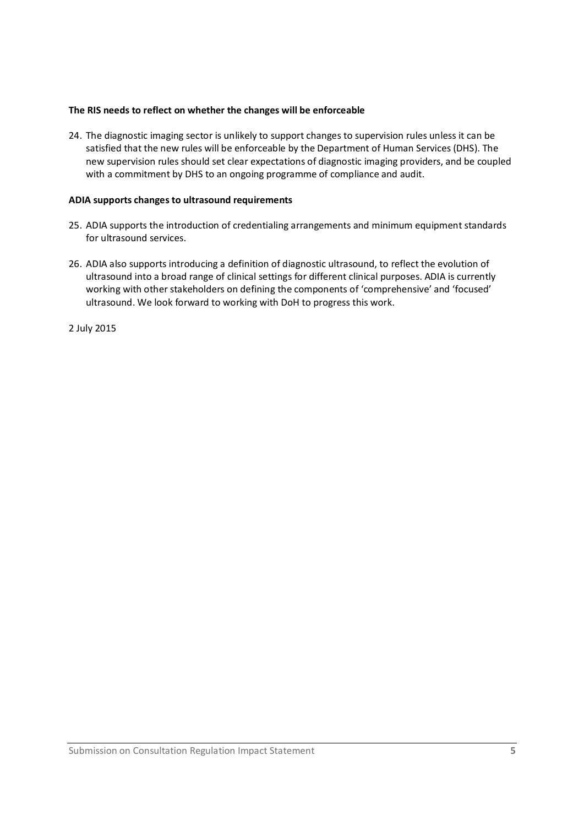#### **The RIS needs to reflect on whether the changes will be enforceable**

24. The diagnostic imaging sector is unlikely to support changes to supervision rules unless it can be satisfied that the new rules will be enforceable by the Department of Human Services (DHS). The new supervision rules should set clear expectations of diagnostic imaging providers, and be coupled with a commitment by DHS to an ongoing programme of compliance and audit.

#### **ADIA supports changes to ultrasound requirements**

- 25. ADIA supports the introduction of credentialing arrangements and minimum equipment standards for ultrasound services.
- 26. ADIA also supports introducing a definition of diagnostic ultrasound, to reflect the evolution of ultrasound into a broad range of clinical settings for different clinical purposes. ADIA is currently working with other stakeholders on defining the components of 'comprehensive' and 'focused' ultrasound. We look forward to working with DoH to progress this work.

2 July 2015